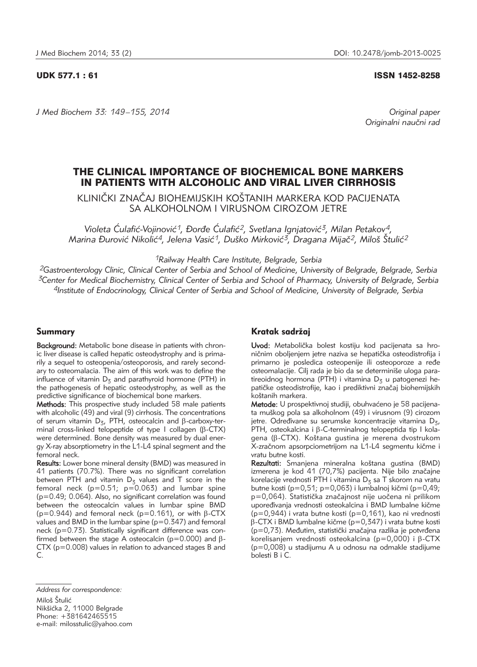## UDK 577.1 : 61 ISSN 1452-8258

*J Med Biochem 33: 149 –155, 2014 Original paper*

Originalni naučni rad

# THE CLINICAL IMPORTANCE OF BIOCHEMICAL BONE MARKERS IN PATIENTS WITH ALCOHOLIC AND VIRAL LIVER CIRRHOSIS

KLINIČKI ZNAČAJ BIOHEMIJSKIH KOŠTANIH MARKERA KOD PACIJENATA SA ALKOHOLNOM I VIRUSNOM CIROZOM JETRE

Violeta Ćulafić-Vojinović<sup>1</sup>, Đorđe Ćulafić<sup>2</sup>, Svetlana Ignjatović<sup>3</sup>, Milan Petakov<sup>4</sup>, *Marina \urovi} Nikoli}4, Jelena Vasi}1, Du{ko Mirkovi}3, Dragana Mija~2, Milo{ [tuli}2*

*1Railway Health Care Institute, Belgrade, Serbia*

*2Gastroenterology Clinic, Clinical Center of Serbia and School of Medicine, University of Belgrade, Belgrade, Serbia 3Center for Medical Biochemistry, Clinical Center of Serbia and School of Pharmacy, University of Belgrade, Serbia 4Institute of Endocrinology, Clinical Center of Serbia and School of Medicine, University of Belgrade, Serbia*

## Summary

Background: Metabolic bone disease in patients with chronic liver disease is called hepatic osteodystrophy and is primarily a sequel to osteopenia/osteoporosis, and rarely secondary to osteomalacia. The aim of this work was to define the influence of vitamin  $D_5$  and parathyroid hormone (PTH) in the pathogenesis of hepatic osteodystrophy, as well as the predictive significance of biochemical bone markers.

Methods: This prospective study included 58 male patients with alcoholic (49) and viral (9) cirrhosis. The concentrations of serum vitamin  $D_{z}$ , PTH, osteocalcin and  $\beta$ -carboxy-terminal cross-linked telopeptide of type I collagen ( $\beta$ -CTX) were determined. Bone density was measured by dual energy X-ray absorptiometry in the L1-L4 spinal segment and the femoral neck.

Results: Lower bone mineral density (BMD) was measured in 41 patients (70.7%). There was no significant correlation between PTH and vitamin  $D_5$  values and T score in the femoral neck ( $p=0.51$ ;  $p=0.063$ ) and lumbar spine (p=0.49; 0.064). Also, no significant correlation was found between the osteocalcin values in lumbar spine BMD ( $p=0.944$ ) and femoral neck ( $p=0.161$ ), or with  $\beta$ -CTX values and BMD in the lumbar spine  $(p=0.347)$  and femoral neck (p=0.73). Statistically significant difference was confirmed between the stage A osteocalcin ( $p=0.000$ ) and  $\beta$ -CTX (p=0.008) values in relation to advanced stages B and C.

## Kratak sadržaj

Uvod: Metabolička bolest kostiju kod pacijenata sa hroničnim oboljenjem jetre naziva se hepatička osteodistrofija i primarno je posledica osteopenije ili osteoporoze a ređe osteomalacije. Cilj rada je bio da se determiniše uloga paratireoidnog hormona (PTH) i vitamina  $D_3$  u patogenezi hepatičke osteodistrofije, kao i prediktivni značaj biohemijskih koštanih markera.

Metode: U prospektivnoj studiji, obuhvaćeno je 58 pacijenata mu{kog pola sa alkoholnom (49) i virusnom (9) cirozom jetre. Određivane su serumske koncentracije vitamina D<sub>3</sub>, PTH, osteokalcina i  $\beta$ -C-terminalnog telopeptida tip I kola $q$ ena ( $\beta$ -CTX). Koštana gustina je merena dvostrukom X-zračnom apsorpciometrijom na L1-L4 segmentu kičme i vratu butne kosti.

Rezultati: Smanjena mineralna koštana gustina (BMD) izmerena je kod 41 (70,7%) pacijenta. Nije bilo značajne korelacije vrednosti PTH i vitamina  $D<sub>z</sub>$  sa T skorom na vratu butne kosti (p=0,51; p=0,063) i lumbalnoj kičmi (p=0,49; p=0,064). Statistička značajnost nije uočena ni prilikom upoređivanja vrednosti osteokalcina i BMD lumbalne kičme (p=0,944) i vrata butne kosti (p=0,161), kao ni vrednosti  $\beta$ -CTX i BMD lumbalne kičme (p=0,347) i vrata butne kosti (p=0,73). Međutim, statistički značajna razlika je potvrđena korelisanjem vrednosti osteokalcina (p=0,000) i  $\beta$ -CTX (p=0,008) u stadijumu A u odnosu na odmakle stadijume bolesti B i C.

*Address for correspondence:* Miloš Štulić Nikšićka 2, 11000 Belgrade Phone: +381642465515 e-mail: milosstulic@yahoo.com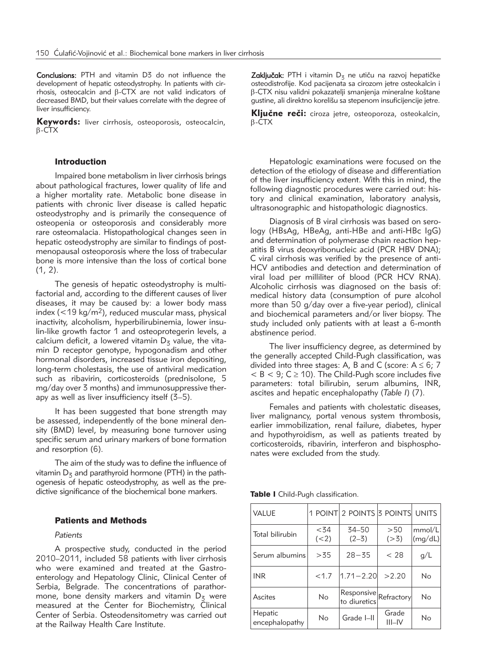Conclusions: PTH and vitamin D3 do not influence the development of hepatic osteodystrophy. In patients with cirrhosis, osteocalcin and  $\beta$ -CTX are not valid indicators of decreased BMD, but their values correlate with the degree of liver insufficiency.

Keywords: liver cirrhosis, osteoporosis, osteocalcin,  $\beta$ -CTX

## Introduction

Impaired bone metabolism in liver cirrhosis brings about pathological fractures, lower quality of life and a higher mortality rate. Metabolic bone disease in patients with chronic liver disease is called hepatic osteodystrophy and is primarily the consequence of osteopenia or osteoporosis and considerably more rare osteomalacia. Histopathological changes seen in hepatic osteodystrophy are similar to findings of postmenopausal osteoporosis where the loss of trabecular bone is more intensive than the loss of cortical bone  $(1, 2)$ .

The genesis of hepatic osteodystrophy is multifactorial and, according to the different causes of liver diseases, it may be caused by: a lower body mass index ( $<$ 19 kg/m<sup>2</sup>), reduced muscular mass, physical inactivity, alcoholism, hyperbilirubinemia, lower insulin-like growth factor 1 and osteoprotegerin levels, a calcium deficit, a lowered vitamin  $D_5$  value, the vitamin D receptor genotype, hypogonadism and other hormonal disorders, increased tissue iron depositing, long-term cholestasis, the use of antiviral medication such as ribavirin, corticosteroids (prednisolone, 5 mg/day over 3 months) and immunosuppressive therapy as well as liver insufficiency itself (3–5).

It has been suggested that bone strength may be assessed, independently of the bone mineral density (BMD) level, by measuring bone turnover using specific serum and urinary markers of bone formation and resorption (6).

The aim of the study was to define the influence of vitamin  $D_5$  and parathyroid hormone (PTH) in the pathogenesis of hepatic osteodystrophy, as well as the predictive significance of the biochemical bone markers.

## Patients and Methods

### *Patients*

A prospective study, conducted in the period 2010–2011, included 58 patients with liver cirrhosis who were examined and treated at the Gastroenterology and Hepatology Clinic, Clinical Center of Serbia, Belgrade. The concentrations of parathormone, bone density markers and vitamin  $D_5$  were measured at the Center for Biochemistry, Clinical Center of Serbia. Osteodensitometry was carried out at the Railway Health Care Institute.

Zaključak: PTH i vitamin D<sub>3</sub> ne utiču na razvoj hepatičke osteodistrofije. Kod pacijenata sa cirozom jetre osteokalcin i  $\beta$ -CTX nisu validni pokazatelji smanjenja mineralne koštane gustine, ali direktno korelišu sa stepenom insuficijencije jetre.

Ključne reči: ciroza jetre, osteoporoza, osteokalcin,  $\beta$ -CTX

Hepatologic examinations were focused on the detection of the etiology of disease and differentiation of the liver insufficiency extent. With this in mind, the following diagnostic procedures were carried out: history and clinical examination, laboratory analysis, ultrasonographic and histopathologic diagnostics.

Diagnosis of B viral cirrhosis was based on serology (HBsAg, HBeAg, anti-HBe and anti-HBc IgG) and determination of polymerase chain reaction hepatitis B virus deoxyribonucleic acid (PCR HBV DNA); C viral cirrhosis was verified by the presence of anti-HCV antibodies and detection and determination of viral load per milliliter of blood (PCR HCV RNA). Alcoholic cirrhosis was diagnosed on the basis of: medical history data (consumption of pure alcohol more than 50 g/day over a five-year period), clinical and biochemical parameters and/or liver biopsy. The study included only patients with at least a 6-month abstinence period.

The liver insufficiency degree, as determined by the generally accepted Child-Pugh classification, was divided into three stages: A, B and C (score:  $A \le 6$ ; 7  $< B < 9$ ;  $C \ge 10$ ). The Child-Pugh score includes five parameters: total bilirubin, serum albumins, INR, ascites and hepatic encephalopathy (*Table I*) (7).

Females and patients with cholestatic diseases, liver malignancy, portal venous system thrombosis, earlier immobilization, renal failure, diabetes, hyper and hypothyroidism, as well as patients treated by corticosteroids, ribavirin, interferon and bisphosphonates were excluded from the study.

Table I Child-Pugh classification.

| <b>VALUE</b>              |                 | 1 POINT 2 POINTS 3 POINTS             |                    | <b>UNITS</b>      |
|---------------------------|-----------------|---------------------------------------|--------------------|-------------------|
| Total bilirubin           | $<$ 34<br>(< 2) | 34-50<br>$(2-3)$                      | >50<br>(>3)        | mmol/L<br>(mg/dL) |
| Serum albumins            | >35             | $28 - 35$                             | < 28               | g/L               |
| <b>INR</b>                | < 1.7           | $1.71 - 2.20$                         | >2.20              | No                |
| Ascites                   | <b>No</b>       | Responsive Refractory<br>to diuretics |                    | No                |
| Hepatic<br>encephalopathy | No              | Grade I-II                            | Grade<br>$III$ -IV | No                |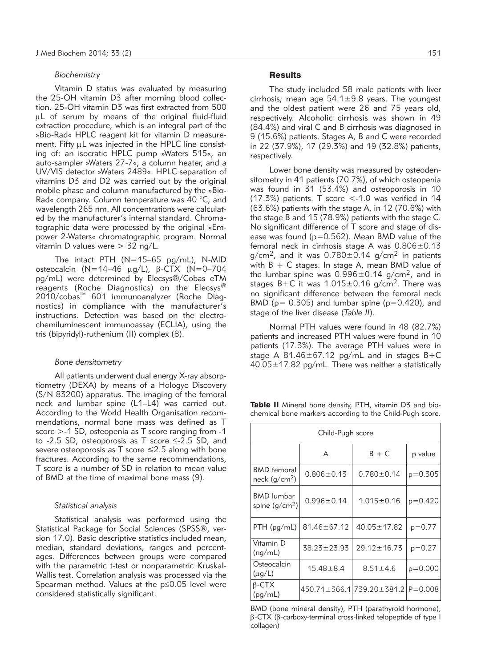#### *Biochemistry*

Vitamin D status was evaluated by measuring the 25-OH vitamin D3 after morning blood collection. 25-OH vitamin D3 was first extracted from 500 mL of serum by means of the original fluid-fluid extraction procedure, which is an integral part of the »Bio-Rad« HPLC reagent kit for vitamin D measurement. Fifty  $\mu$ L was injected in the HPLC line consisting of: an isocratic HPLC pump »Waters 515«, an auto-sampler »Waters 27-7«, a column heater, and a UV/VIS detector »Waters 2489«. HPLC separation of vitamins D3 and D2 was carried out by the original mobile phase and column manufactured by the »Bio-Rad« company. Column temperature was 40 °C, and wavelength 265 nm. All concentrations were calculated by the manufacturer's internal standard. Chromato graphic data were processed by the original »Empower 2-Waters« chromatographic program. Normal vitamin D values were > 32 ng/L.

The intact PTH (N=15–65 pg/mL), N-MID osteocalcin (N=14-46  $\mu$ g/L),  $\beta$ -CTX (N=0-704 pg/mL) were determined by Elecsys®/Cobas eTM reagents (Roche Diagnostics) on the Elecsys® 2010/cobas™ 601 immunoanalyzer (Roche Diagnostics) in compliance with the manufacturer's instructions. Detection was based on the electrochemiluminescent immunoassay (ECLIA), using the tris (bipyridyl)-ruthenium (II) complex (8).

#### *Bone densitometry*

All patients underwent dual energy X-ray absorptiometry (DEXA) by means of a Hologyc Discovery (S/N 83200) apparatus. The imaging of the femoral neck and lumbar spine (L1–L4) was carried out. According to the World Health Organisation recommendations, normal bone mass was defined as T score >-1 SD, osteopenia as T score ranging from -1 to -2.5 SD, osteoporosis as T score ≤-2.5 SD, and severe osteoporosis as T score  $\leq$  2.5 along with bone fractures. According to the same recommendations, T score is a number of SD in relation to mean value of BMD at the time of maximal bone mass (9).

## *Statistical analysis*

Statistical analysis was performed using the Statistical Package for Social Sciences (SPSS®, version 17.0). Basic descriptive statistics included mean, median, standard deviations, ranges and percentages. Differences between groups were compared with the parametric t-test or nonparametric Kruskal-Wallis test. Correlation analysis was processed via the Spearman method. Values at the p≤0.05 level were considered statistically significant.

## **Results**

The study included 58 male patients with liver cirrhosis; mean age 54.1±9.8 years. The youngest and the oldest patient were 26 and 75 years old, respectively. Alcoholic cirrhosis was shown in 49 (84.4%) and viral C and B cirrhosis was diagnosed in 9 (15.6%) patients. Stages A, B and C were recorded in 22 (37.9%), 17 (29.3%) and 19 (32.8%) patients, respectively.

Lower bone density was measured by osteodensitometry in 41 patients (70.7%), of which osteopenia was found in 31 (53.4%) and osteoporosis in 10 (17.3%) patients. T score <-1.0 was verified in 14  $(63.6%)$  patients with the stage A, in 12 (70.6%) with the stage B and 15 (78.9%) patients with the stage C. No significant difference of T score and stage of disease was found ( $p=0.562$ ). Mean BMD value of the femoral neck in cirrhosis stage A was 0.806±0.13  $q/cm<sup>2</sup>$ , and it was  $0.780 \pm 0.14$   $q/cm<sup>2</sup>$  in patients with  $B + C$  stages. In stage A, mean BMD value of the lumbar spine was  $0.996 \pm 0.14$  g/cm<sup>2</sup>, and in stages B+C it was  $1.015 \pm 0.16$  g/cm<sup>2</sup>. There was no significant difference between the femoral neck BMD ( $p= 0.305$ ) and lumbar spine ( $p=0.420$ ), and stage of the liver disease (*Table II*).

Normal PTH values were found in 48 (82.7%) patients and increased PTH values were found in 10 patients (17.3%). The average PTH values were in stage A 81.46±67.12 pg/mL and in stages B+C 40.05±17.82 pg/mL. There was neither a statistically

Table II Mineral bone density, PTH, vitamin D3 and biochemical bone markers according to the Child-Pugh score.

| Child-Pugh score                     |                   |                                                   |           |  |  |  |
|--------------------------------------|-------------------|---------------------------------------------------|-----------|--|--|--|
|                                      | A                 | $B + C$                                           | p value   |  |  |  |
| <b>BMD</b> femoral<br>neck $(g/cm2)$ | $0.806 \pm 0.13$  | $0.780 \pm 0.14$                                  | $p=0.305$ |  |  |  |
| <b>BMD</b> lumbar<br>spine $(g/cm2)$ | $0.996 \pm 0.14$  | $1.015 \pm 0.16$                                  | $p=0.420$ |  |  |  |
| $PTH$ (pg/mL)                        | $81.46 \pm 67.12$ | $40.05 \pm 17.82$                                 | $p=0.77$  |  |  |  |
| Vitamin D<br>(ng/mL)                 | $38.23 \pm 23.93$ | $29.12 \pm 16.73$                                 | $p=0.27$  |  |  |  |
| Osteocalcin<br>$(\mu g/L)$           | $15.48 \pm 8.4$   | $8.51 \pm 4.6$                                    | $p=0.000$ |  |  |  |
| $\beta$ -CTX<br>(pq/mL)              |                   | $450.71 \pm 366.1$   739.20 $\pm$ 381.2   P=0.008 |           |  |  |  |

BMD (bone mineral density), PTH (parathyroid hormone),  $\beta$ -CTX ( $\beta$ -carboxy-terminal cross-linked telopeptide of type I collagen)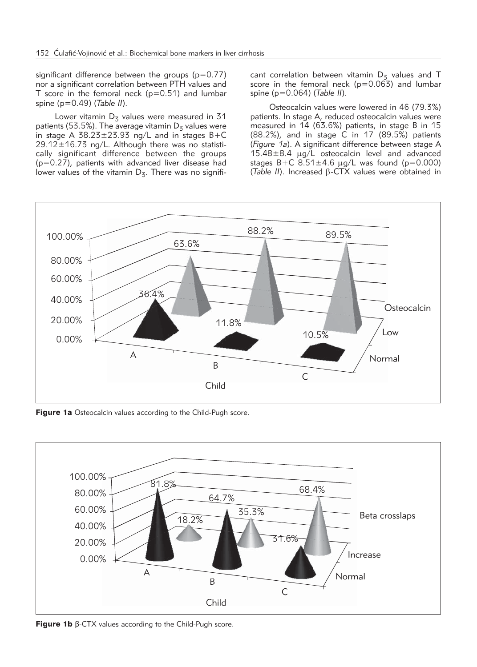significant difference between the groups  $(p=0.77)$ nor a significant correlation between PTH values and T score in the femoral neck  $(p=0.51)$  and lumbar spine (p=0.49) (*Table II*).

Lower vitamin  $D<sub>5</sub>$  values were measured in 31 patients (53.5%). The average vitamin  $D_5$  values were in stage A  $38.23 \pm 23.93$  ng/L and in stages  $B+C$  $29.12 \pm 16.73$  ng/L. Although there was no statistically significant difference between the groups (p=0.27), patients with advanced liver disease had lower values of the vitamin  $D_5$ . There was no significant correlation between vitamin  $D_5$  values and T score in the femoral neck  $(p=0.063)$  and lumbar spine (p=0.064) (*Table II*).

Osteocalcin values were lowered in 46 (79.3%) patients. In stage A, reduced osteocalcin values were measured in 14 (63.6%) patients, in stage B in 15 (88.2%), and in stage C in 17 (89.5%) patients (*Figure 1a*). A significant difference between stage A  $15.48\pm8.4$  µg/L osteocalcin level and advanced stages B+C  $8.51 \pm 4.6$   $\mu$ g/L was found (p=0.000) ( $Table II$ ). Increased  $\beta$ -CTX values were obtained in



Figure 1a Osteocalcin values according to the Child-Pugh score.



**Figure 1b**  $β$ -CTX values according to the Child-Pugh score.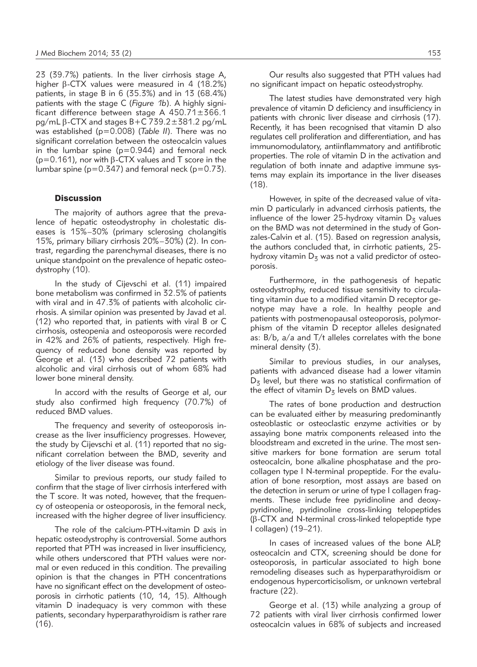23 (39.7%) patients. In the liver cirrhosis stage A, higher  $\beta$ -CTX values were measured in 4 (18.2%) patients, in stage B in 6 (35.3%) and in 13 (68.4%) patients with the stage C (*Figure 1b*). A highly significant difference between stage A 450.71±366.1  $pq/mL$   $\beta$ -CTX and stages B+C 739.2 $\pm$ 381.2 pg/mL was established (p=0.008) (*Table II*). There was no significant correlation between the osteocalcin values in the lumbar spine  $(p=0.944)$  and femoral neck  $(p=0.161)$ , nor with  $\beta$ -CTX values and T score in the lumbar spine ( $p=0.347$ ) and femoral neck ( $p=0.73$ ).

## **Discussion**

The majority of authors agree that the prevalence of hepatic osteodystrophy in cholestatic diseases is 15%–30% (primary sclerosing cholangitis 15%, primary biliary cirrhosis 20%–30%) (2). In contrast, regarding the parenchymal diseases, there is no unique standpoint on the prevalence of hepatic osteodystrophy (10).

In the study of Cijevschi et al. (11) impaired bone metabolism was confirmed in 32.5% of patients with viral and in 47.3% of patients with alcoholic cirrhosis. A similar opinion was presented by Javad et al. (12) who reported that, in patients with viral B or C cirrhosis, osteopenia and osteoporosis were recorded in 42% and 26% of patients, respectively. High frequency of reduced bone density was reported by George et al. (13) who described 72 patients with alcoholic and viral cirrhosis out of whom 68% had lower bone mineral density.

In accord with the results of George et al, our study also confirmed high frequency (70.7%) of reduced BMD values.

The frequency and severity of osteoporosis increase as the liver insufficiency progresses. However, the study by Cijevschi et al. (11) reported that no significant correlation between the BMD, severity and etiology of the liver disease was found.

Similar to previous reports, our study failed to confirm that the stage of liver cirrhosis interfered with the T score. It was noted, however, that the frequency of osteopenia or osteoporosis, in the femoral neck, increased with the higher degree of liver insufficiency.

The role of the calcium-PTH-vitamin D axis in hepatic osteodystrophy is controversial. Some authors reported that PTH was increased in liver insufficiency, while others underscored that PTH values were normal or even reduced in this condition. The prevailing opinion is that the changes in PTH concentrations have no significant effect on the development of osteoporosis in cirrhotic patients (10, 14, 15). Although vitamin D inadequacy is very common with these patients, secondary hyperparathyroidism is rather rare (16).

Our results also suggested that PTH values had no significant impact on hepatic osteodystrophy.

The latest studies have demonstrated very high prevalence of vitamin D deficiency and insufficiency in patients with chronic liver disease and cirrhosis (17). Recently, it has been recognised that vitamin D also regulates cell proliferation and differentiation, and has immunomodulatory, antiinflammatory and antifibrotic properties. The role of vitamin D in the activation and regulation of both innate and adaptive immune systems may explain its importance in the liver diseases (18).

However, in spite of the decreased value of vitamin D particularly in advanced cirrhosis patients, the influence of the lower 25-hydroxy vitamin  $D_5$  values on the BMD was not determined in the study of Gonzales-Calvin et al. (15). Based on regression analysis, the authors concluded that, in cirrhotic patients, 25 hydroxy vitamin  $D<sub>z</sub>$  was not a valid predictor of osteoporosis.

Furthermore, in the pathogenesis of hepatic osteodystrophy, reduced tissue sensitivity to circulating vitamin due to a modified vitamin D receptor genotype may have a role. In healthy people and patients with postmenopausal osteoporosis, polymorphism of the vitamin D receptor alleles designated as: B/b, a/a and T/t alleles correlates with the bone mineral density (3).

Similar to previous studies, in our analyses, patients with advanced disease had a lower vitamin  $D<sub>5</sub>$  level, but there was no statistical confirmation of the effect of vitamin  $D_5$  levels on BMD values.

The rates of bone production and destruction can be evaluated either by measuring predominantly osteoblastic or osteoclastic enzyme activities or by assaying bone matrix components released into the bloodstream and excreted in the urine. The most sensitive markers for bone formation are serum total osteocalcin, bone alkaline phosphatase and the procollagen type I N-terminal propeptide. For the evaluation of bone resorption, most assays are based on the detection in serum or urine of type I collagen fragments. These include free pyridinoline and deoxypyridinoline, pyridinoline cross-linking telopeptides (b-CTX and N-terminal cross-linked telopeptide type I collagen) (19–21).

In cases of increased values of the bone ALP, osteocalcin and CTX, screening should be done for osteoporosis, in particular associated to high bone remodeling diseases such as hyperparathyroidism or endogenous hypercorticisolism, or unknown vertebral fracture (22).

George et al. (13) while analyzing a group of 72 patients with viral liver cirrhosis confirmed lower osteocalcin values in 68% of subjects and increased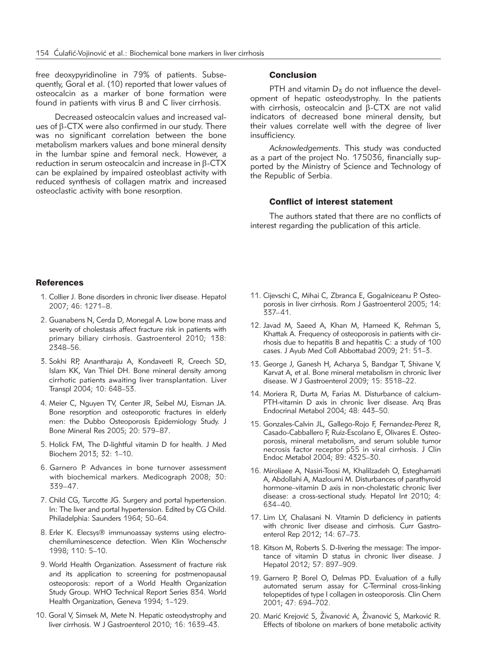free deoxypyridinoline in 79% of patients. Subsequently, Goral et al. (10) reported that lower values of osteocalcin as a marker of bone formation were found in patients with virus B and C liver cirrhosis.

Decreased osteocalcin values and increased values of  $\beta$ -CTX were also confirmed in our study. There was no significant correlation between the bone metabolism markers values and bone mineral density in the lumbar spine and femoral neck. However, a reduction in serum osteocalcin and increase in  $\beta$ -CTX can be explained by impaired osteoblast activity with reduced synthesis of collagen matrix and increased osteoclastic activity with bone resorption.

## Conclusion

PTH and vitamin  $D_5$  do not influence the development of hepatic osteodystrophy. In the patients with cirrhosis, osteocalcin and  $\beta$ -CTX are not valid indicators of decreased bone mineral density, but their values correlate well with the degree of liver insufficiency.

*Acknowledgements.* This study was conducted as a part of the project No. 175036, financially supported by the Ministry of Science and Technology of the Republic of Serbia.

## Conflict of interest statement

The authors stated that there are no conflicts of interest regarding the publication of this article.

## **References**

- 1. Collier J. Bone disorders in chronic liver disease. Hepatol 2007; 46: 1271–8.
- 2. Guanabens N, Cerda D, Monegal A. Low bone mass and severity of cholestasis affect fracture risk in patients with primary biliary cirrhosis. Gastroenterol 2010; 138: 2348–56.
- 3. Sokhi RP, Anantharaju A, Kondaveeti R, Creech SD, Islam KK, Van Thiel DH. Bone mineral density among cirrhotic patients awaiting liver transplantation. Liver Transpl 2004; 10: 648–53.
- 4. Meier C, Nguyen TV, Center JR, Seibel MJ, Eisman JA. Bone resorption and osteoporotic fractures in elderly men: the Dubbo Osteoporosis Epidemiology Study. J Bone Mineral Res 2005; 20: 579–87.
- 5. Holick FM, The D-lightful vitamin D for health. J Med Biochem 2013; 32: 1–10.
- 6. Garnero P. Advances in bone turnover assessment with biochemical markers. Medicograph 2008; 30: 339–47.
- 7. Child CG, Turcotte JG. Surgery and portal hypertension. In: The liver and portal hypertension. Edited by CG Child. Philadelphia: Saunders 1964; 50–64.
- 8. Erler K. Elecsys® immunoassay systems using electrochemiluminescence detection. Wien Klin Wochenschr 1998; 110: 5–10.
- 9. World Health Organization. Assessment of fracture risk and its application to screening for postmenopausal osteoporosis: report of a World Health Organization Study Group. WHO Technical Report Series 834. World Health Organization, Geneva 1994; 1–129.
- 10. Goral V, Simsek M, Mete N. Hepatic osteodystrophy and liver cirrhosis. W J Gastroenterol 2010; 16: 1639–43.
- 11. Cijevschi C, Mihai C, Zbranca E, Gogalniceanu P. Osteoporosis in liver cirrhosis. Rom J Gastroenterol 2005; 14: 337–41.
- 12. Javad M, Saeed A, Khan M, Hameed K, Rehman S, Khattak A. Frequency of osteoporosis in patients with cirrhosis due to hepatitis B and hepatitis C: a study of 100 cases. J Ayub Med Coll Abbottabad 2009; 21: 51–3.
- 13. George J, Ganesh H, Acharya S, Bandgar T, Shivane V, Karvat A, et al. Bone mineral metabolism in chronic liver disease. W J Gastroenterol 2009; 15: 3518–22.
- 14. Moriera R, Durta M, Farias M. Disturbance of calcium-PTH-vitamin D axis in chronic liver disease. Arq Bras Endocrinal Metabol 2004; 48: 443–50.
- 15. Gonzales-Calvin JL, Gallego-Rojo F, Fernandez-Perez R, Casado-Cabballero F, Ruiz-Escolano E, Olivares E. Osteoporosis, mineral metabolism, and serum soluble tumor necrosis factor receptor p55 in viral cirrhosis. J Clin Endoc Metabol 2004; 89: 4325–30.
- 16. Miroliaee A, Nasiri-Toosi M, Khalilzadeh O, Esteghamati A, Abdollahi A, Mazloumi M. Disturbances of parathyroid hormone–vitamin D axis in non-cholestatic chronic liver disease: a cross-sectional study. Hepatol Int 2010; 4: 634–40.
- 17. Lim LY, Chalasani N. Vitamin D deficiency in patients with chronic liver disease and cirrhosis. Curr Gastroenterol Rep 2012; 14: 67–73.
- 18. Kitson M, Roberts S. D-livering the message: The importance of vitamin D status in chronic liver disease. J Hepatol 2012; 57: 897–909.
- 19. Garnero P, Borel O, Delmas PD. Evaluation of a fully automated serum assay for C-Terminal cross-linking telopeptides of type I collagen in osteoporosis. Clin Chem 2001; 47: 694–702.
- 20. Marić Krejović S, Živanović A, Živanović S, Marković R. Effects of tibolone on markers of bone metabolic activity